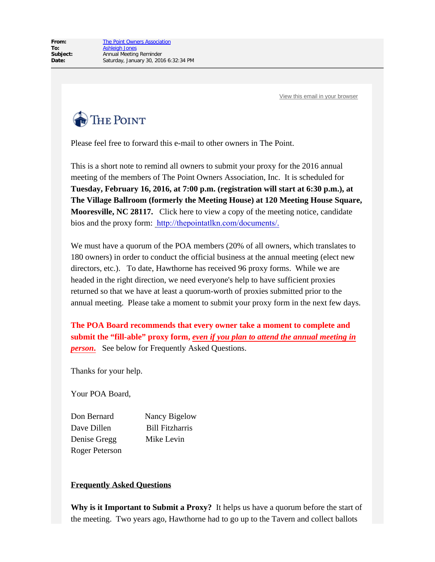[View this email in your browser](http://us9.campaign-archive2.com/?u=7925e9b8533b8ad6a345a0733&id=e5eaa36db7&e=d52ba7bcfb)



Please feel free to forward this e-mail to other owners in The Point.

This is a short note to remind all owners to submit your proxy for the 2016 annual meeting of the members of The Point Owners Association, Inc. It is scheduled for **Tuesday, February 16, 2016, at 7:00 p.m. (registration will start at 6:30 p.m.), at The Village Ballroom (formerly the Meeting House) at 120 Meeting House Square, Mooresville, NC 28117.** Click here to view a copy of the meeting notice, candidate bios and the proxy form: [http://thepointatlkn.com/documents/](http://thepointatlkn.us9.list-manage.com/track/click?u=7925e9b8533b8ad6a345a0733&id=0aeff4b684&e=d52ba7bcfb).

We must have a quorum of the POA members (20% of all owners, which translates to 180 owners) in order to conduct the official business at the annual meeting (elect new directors, etc.). To date, Hawthorne has received 96 proxy forms. While we are headed in the right direction, we need everyone's help to have sufficient proxies returned so that we have at least a quorum-worth of proxies submitted prior to the annual meeting. Please take a moment to submit your proxy form in the next few days.

**The POA Board recommends that every owner take a moment to complete and submit the "fill-able" proxy form,** *even if you plan to attend the annual meeting in person.* See below for Frequently Asked Questions.

Thanks for your help.

Your POA Board,

Don Bernard Nancy Bigelow Dave Dillen Bill Fitzharris Denise Gregg Mike Levin Roger Peterson

## **Frequently Asked Questions**

**Why is it Important to Submit a Proxy?** It helps us have a quorum before the start of the meeting. Two years ago, Hawthorne had to go up to the Tavern and collect ballots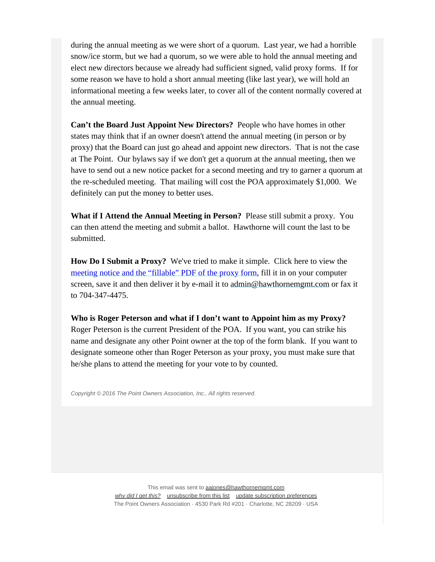during the annual meeting as we were short of a quorum. Last year, we had a horrible snow/ice storm, but we had a quorum, so we were able to hold the annual meeting and elect new directors because we already had sufficient signed, valid proxy forms. If for some reason we have to hold a short annual meeting (like last year), we will hold an informational meeting a few weeks later, to cover all of the content normally covered at the annual meeting.

**Can't the Board Just Appoint New Directors?** People who have homes in other states may think that if an owner doesn't attend the annual meeting (in person or by proxy) that the Board can just go ahead and appoint new directors. That is not the case at The Point. Our bylaws say if we don't get a quorum at the annual meeting, then we have to send out a new notice packet for a second meeting and try to garner a quorum at the re-scheduled meeting. That mailing will cost the POA approximately \$1,000. We definitely can put the money to better uses.

**What if I Attend the Annual Meeting in Person?** Please still submit a proxy. You can then attend the meeting and submit a ballot. Hawthorne will count the last to be submitted.

**How Do I Submit a Proxy?** We've tried to make it simple. Click here to view the [meeting notice and the "fillable" PDF of the](http://thepointatlkn.us9.list-manage.com/track/click?u=7925e9b8533b8ad6a345a0733&id=af3f3bf43c&e=d52ba7bcfb) [proxy](http://thepointatlkn.us9.list-manage.com/track/click?u=7925e9b8533b8ad6a345a0733&id=e5ec589146&e=d52ba7bcfb) [form,](http://thepointatlkn.us9.list-manage2.com/track/click?u=7925e9b8533b8ad6a345a0733&id=9ce15e75c8&e=d52ba7bcfb) fill it in on your computer screen, save it and then deliver it by e-mail it to [admin@hawthornemgmt.com](mailto:https://www.thepointatlkn.com/board-update.html?subject=Point%20Owners%20Assn) or fax it to 704-347-4475.

**Who is Roger Peterson and what if I don't want to Appoint him as my Proxy?** Roger Peterson is the current President of the POA. If you want, you can strike his name and designate any other Point owner at the top of the form blank. If you want to designate someone other than Roger Peterson as your proxy, you must make sure that he/she plans to attend the meeting for your vote to by counted.

*Copyright © 2016 The Point Owners Association, Inc., All rights reserved.*

This email was sent to [aajones@hawthornemgmt.com](mailto:aajones@hawthornemgmt.com) *[why did I get this?](http://thepointatlkn.us9.list-manage.com/about?u=7925e9b8533b8ad6a345a0733&id=bc636b6198&e=d52ba7bcfb&c=e5eaa36db7)* [unsubscribe from this list](http://thepointatlkn.us9.list-manage.com/unsubscribe?u=7925e9b8533b8ad6a345a0733&id=bc636b6198&e=d52ba7bcfb&c=e5eaa36db7) [update subscription preferences](http://thepointatlkn.us9.list-manage2.com/profile?u=7925e9b8533b8ad6a345a0733&id=bc636b6198&e=d52ba7bcfb) The Point Owners Association · 4530 Park Rd #201 · Charlotte, NC 28209 · USA